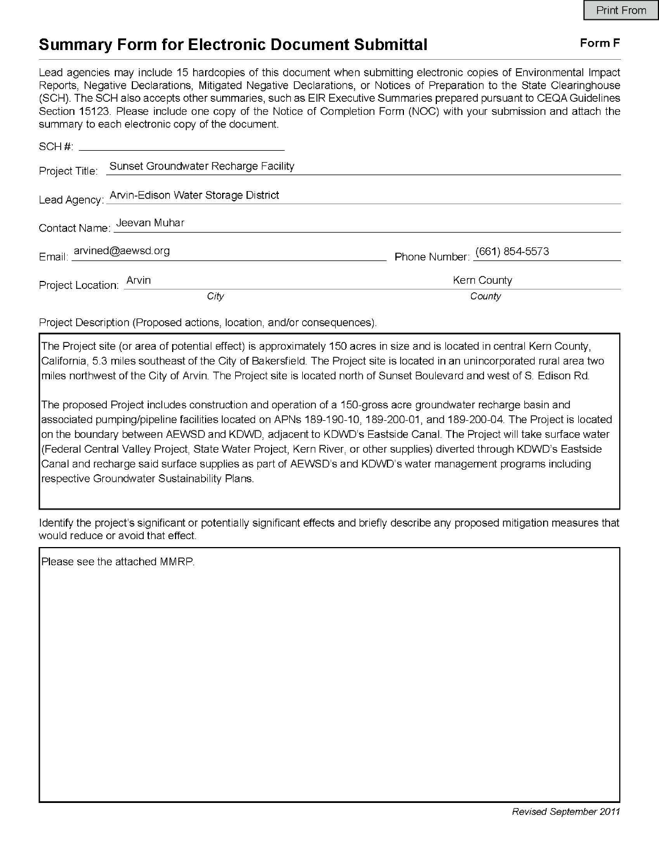## **Summary Form for Electronic Document Submittal Form F Form F**

Lead agencies may include 15 hardcopies of this document when submitting electronic copies of Environmental Impact Reports, Negative Declarations, Mitigated Negative Declarations, or Notices of Preparation to the State Clearinghouse (SCH). The SCH also accepts other summaries, such as EIR Executive Summaries prepared pursuant to CEQA Guidelines Section 15123. Please include one copy of the Notice of Completion Form (NOC) with your submission and attach the summary to each electronic copy of the document.

| Project Title: Sunset Groundwater Recharge Facility |                              |
|-----------------------------------------------------|------------------------------|
| Lead Agency: Arvin-Edison Water Storage District    |                              |
| Contact Name: Jeevan Muhar                          |                              |
| Email: arvined@aewsd.org                            | Phone Number: (661) 854-5573 |
| Project Location: Arvin                             | Kern County                  |
| City                                                | County                       |

Project Description (Proposed actions, location, and/or consequences).

The Project site (or area of potential effect) is approximately 150 acres in size and is located in central Kern County, California, 5.3 miles southeast of the City of Bakersfield. The Project site is located in an unincorporated rural area two miles northwest of the City of Arvin. The Project site is located north of Sunset Boulevard and west of S Edison Rd.

The proposed Project includes construction and operation of a 150-gross acre groundwater recharge basin and associated pumping/pipeline facilities located on APNs 189-190-10, 189-200-01, and 189-200-04. The Project is located on the boundary between AEWSD and KDWD, adjacent to KDWD's Eastside Canal. The Project will take surface water (Federal Central Valley Project, State Water Project, Kern River, or other supplies) diverted through KDWD's Eastside Canal and recharge said surface supplies as part of AEWSD's and KDWD's water management programs including respective Groundwater Sustainability Plans.

Identify the project's significant or potentially significant effects and briefly describe any proposed mitigation measures that would reduce or avoid that effect

Please see the attached MMRP.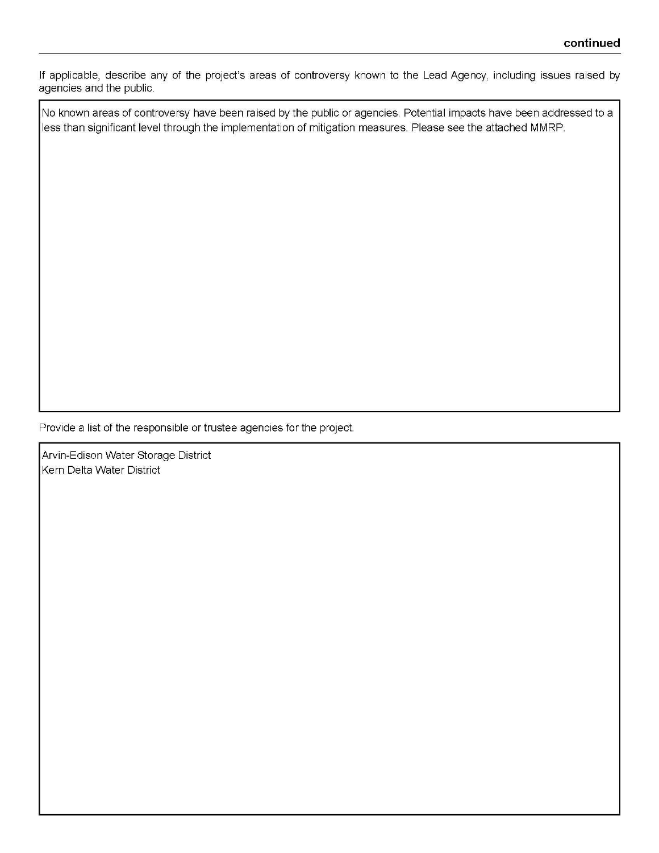If applicable, describe any of the project's areas of controversy known to the Lead Agency, including issues raised by agencies and the public.

No known areas of controversy have been raised by the public or agencies. Potential impacts have been addressed to a less than significant level through the implementation of mitigation measures. Please see the attached MMRP.

Provide a list of the responsible or trustee agencies for the project

Arvin-Edison Water Storage District Kern Delta Water District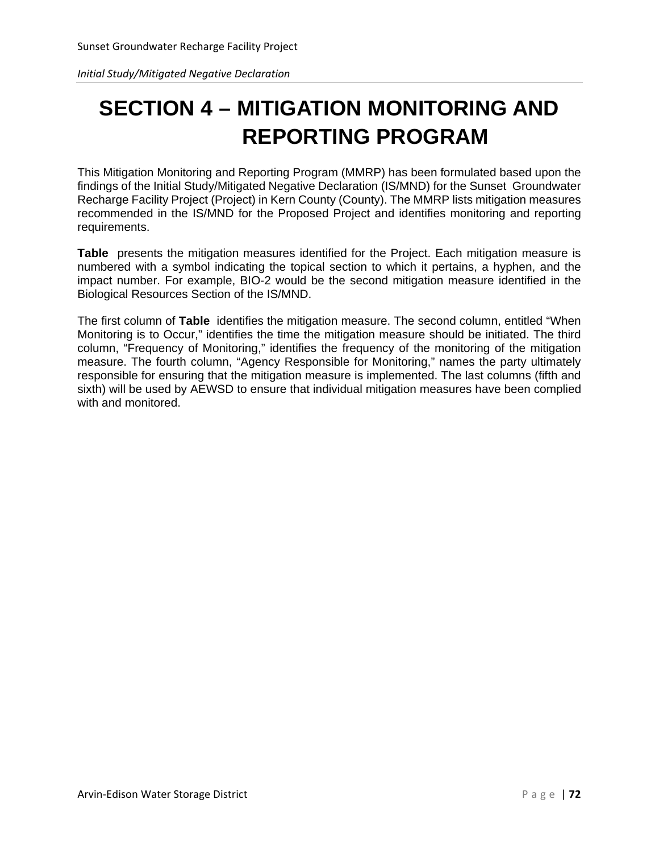*Initial Study/Mitigated Negative Declaration*

# **SECTION 4 – MITIGATION MONITORING AND REPORTING PROGRAM**

This Mitigation Monitoring and Reporting Program (MMRP) has been formulated based upon the findings of the Initial Study/Mitigated Negative Declaration (IS/MND) for the Sunset Groundwater Recharge Facility Project (Project) in Kern County (County). The MMRP lists mitigation measures recommended in the IS/MND for the Proposed Project and identifies monitoring and reporting requirements.

**Table** presents the mitigation measures identified for the Project. Each mitigation measure is numbered with a symbol indicating the topical section to which it pertains, a hyphen, and the impact number. For example, BIO-2 would be the second mitigation measure identified in the Biological Resources Section of the IS/MND.

The first column of **Table** identifies the mitigation measure. The second column, entitled "When Monitoring is to Occur," identifies the time the mitigation measure should be initiated. The third column, "Frequency of Monitoring," identifies the frequency of the monitoring of the mitigation measure. The fourth column, "Agency Responsible for Monitoring," names the party ultimately responsible for ensuring that the mitigation measure is implemented. The last columns (fifth and sixth) will be used by AEWSD to ensure that individual mitigation measures have been complied with and monitored.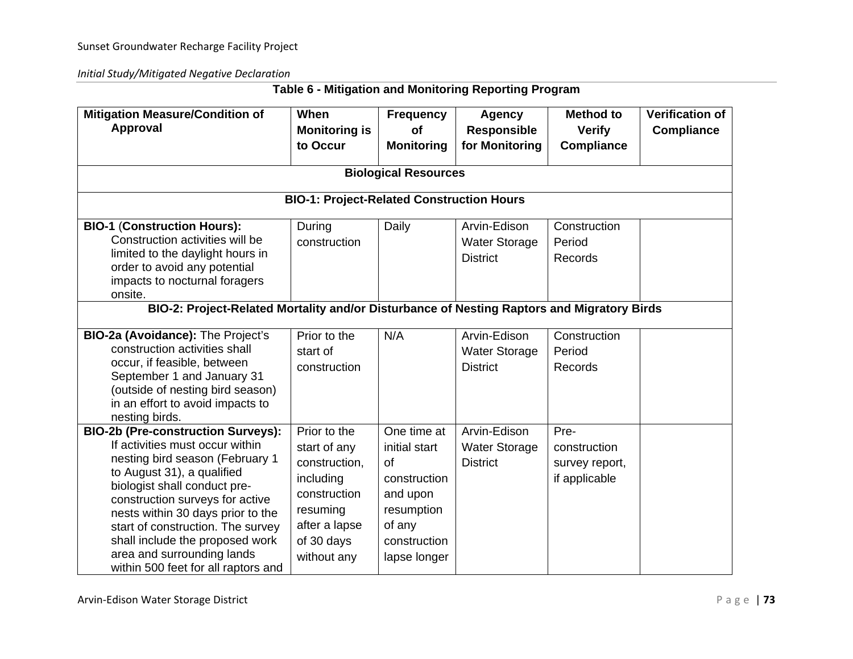*Initial Study/Mitigated Negative Declaration*

| <b>Mitigation Measure/Condition of</b><br>Approval                                                                                                                                                                                                                                                                                                                                                 | When<br><b>Monitoring is</b><br>to Occur                                                                                             | <b>Frequency</b><br>of<br><b>Monitoring</b>                                                                            | <b>Agency</b><br><b>Responsible</b><br>for Monitoring   | <b>Method to</b><br><b>Verify</b><br><b>Compliance</b>  | <b>Verification of</b><br><b>Compliance</b> |  |  |  |  |
|----------------------------------------------------------------------------------------------------------------------------------------------------------------------------------------------------------------------------------------------------------------------------------------------------------------------------------------------------------------------------------------------------|--------------------------------------------------------------------------------------------------------------------------------------|------------------------------------------------------------------------------------------------------------------------|---------------------------------------------------------|---------------------------------------------------------|---------------------------------------------|--|--|--|--|
|                                                                                                                                                                                                                                                                                                                                                                                                    | <b>Biological Resources</b>                                                                                                          |                                                                                                                        |                                                         |                                                         |                                             |  |  |  |  |
|                                                                                                                                                                                                                                                                                                                                                                                                    | <b>BIO-1: Project-Related Construction Hours</b>                                                                                     |                                                                                                                        |                                                         |                                                         |                                             |  |  |  |  |
| <b>BIO-1 (Construction Hours):</b><br>Construction activities will be<br>limited to the daylight hours in<br>order to avoid any potential<br>impacts to nocturnal foragers<br>onsite.                                                                                                                                                                                                              | During<br>construction                                                                                                               | Daily                                                                                                                  | Arvin-Edison<br><b>Water Storage</b><br><b>District</b> | Construction<br>Period<br>Records                       |                                             |  |  |  |  |
| BIO-2: Project-Related Mortality and/or Disturbance of Nesting Raptors and Migratory Birds                                                                                                                                                                                                                                                                                                         |                                                                                                                                      |                                                                                                                        |                                                         |                                                         |                                             |  |  |  |  |
| BIO-2a (Avoidance): The Project's<br>construction activities shall<br>occur, if feasible, between<br>September 1 and January 31<br>(outside of nesting bird season)<br>in an effort to avoid impacts to<br>nesting birds.                                                                                                                                                                          | Prior to the<br>start of<br>construction                                                                                             | N/A                                                                                                                    | Arvin-Edison<br><b>Water Storage</b><br><b>District</b> | Construction<br>Period<br>Records                       |                                             |  |  |  |  |
| <b>BIO-2b (Pre-construction Surveys):</b><br>If activities must occur within<br>nesting bird season (February 1<br>to August 31), a qualified<br>biologist shall conduct pre-<br>construction surveys for active<br>nests within 30 days prior to the<br>start of construction. The survey<br>shall include the proposed work<br>area and surrounding lands<br>within 500 feet for all raptors and | Prior to the<br>start of any<br>construction,<br>including<br>construction<br>resuming<br>after a lapse<br>of 30 days<br>without any | One time at<br>initial start<br>of<br>construction<br>and upon<br>resumption<br>of any<br>construction<br>lapse longer | Arvin-Edison<br><b>Water Storage</b><br><b>District</b> | Pre-<br>construction<br>survey report,<br>if applicable |                                             |  |  |  |  |

### **Table 6 - Mitigation and Monitoring Reporting Program**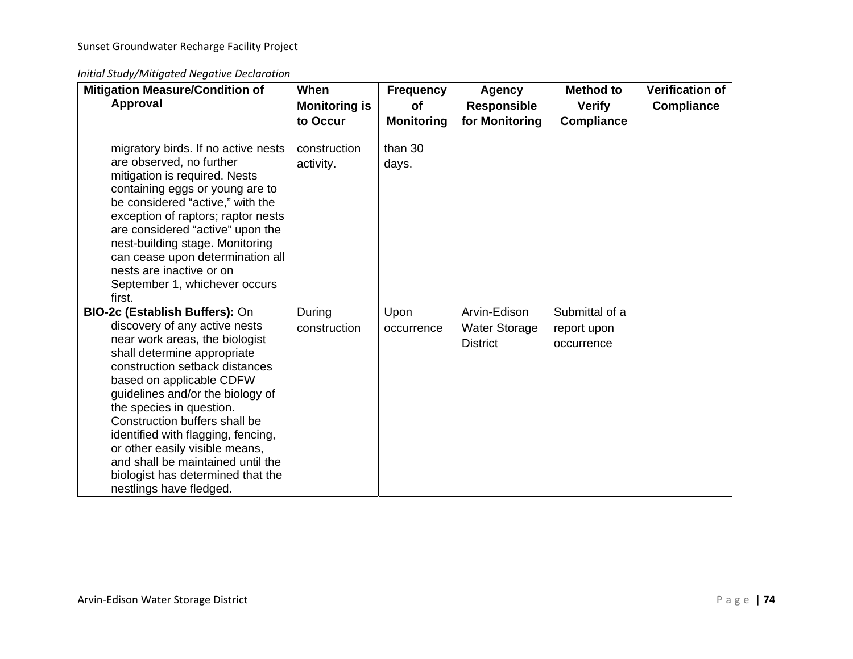*Initial Study/Mitigated Negative Declaration*

| <b>Mitigation Measure/Condition of</b><br><b>Approval</b>                                                                                                                                                                                                                                                                                                                                                                                                                    | When<br><b>Monitoring is</b><br>to Occur | <b>Frequency</b><br><b>of</b><br><b>Monitoring</b> | Agency<br><b>Responsible</b><br>for Monitoring          | <b>Method to</b><br><b>Verify</b><br><b>Compliance</b> | <b>Verification of</b><br><b>Compliance</b> |
|------------------------------------------------------------------------------------------------------------------------------------------------------------------------------------------------------------------------------------------------------------------------------------------------------------------------------------------------------------------------------------------------------------------------------------------------------------------------------|------------------------------------------|----------------------------------------------------|---------------------------------------------------------|--------------------------------------------------------|---------------------------------------------|
| migratory birds. If no active nests<br>are observed, no further<br>mitigation is required. Nests<br>containing eggs or young are to<br>be considered "active," with the<br>exception of raptors; raptor nests<br>are considered "active" upon the<br>nest-building stage. Monitoring<br>can cease upon determination all<br>nests are inactive or on<br>September 1, whichever occurs<br>first.                                                                              | construction<br>activity.                | than 30<br>days.                                   |                                                         |                                                        |                                             |
| BIO-2c (Establish Buffers): On<br>discovery of any active nests<br>near work areas, the biologist<br>shall determine appropriate<br>construction setback distances<br>based on applicable CDFW<br>guidelines and/or the biology of<br>the species in question.<br>Construction buffers shall be<br>identified with flagging, fencing,<br>or other easily visible means,<br>and shall be maintained until the<br>biologist has determined that the<br>nestlings have fledged. | During<br>construction                   | Upon<br>occurrence                                 | Arvin-Edison<br><b>Water Storage</b><br><b>District</b> | Submittal of a<br>report upon<br>occurrence            |                                             |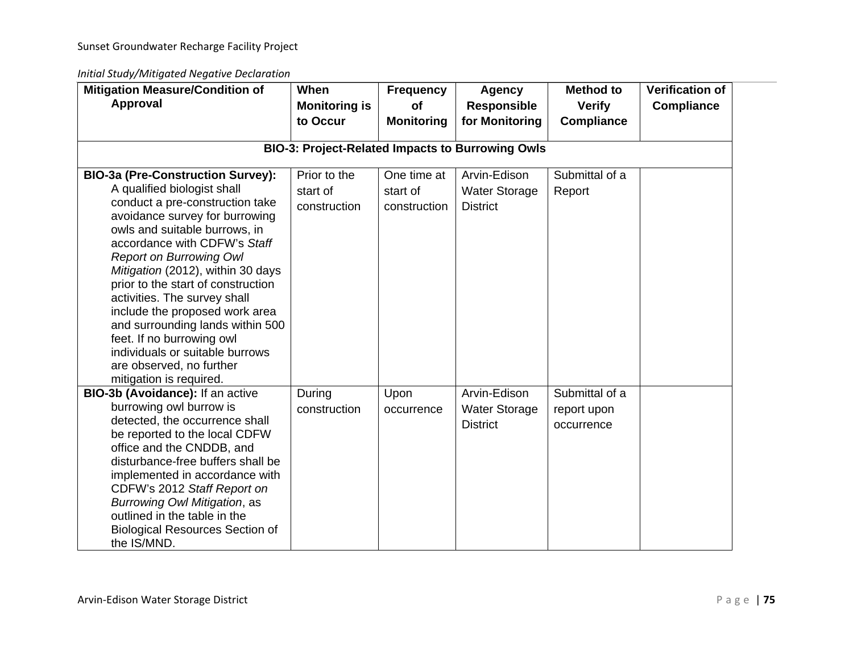*Initial Study/Mitigated Negative Declaration*

| <b>Mitigation Measure/Condition of</b><br><b>Approval</b>                                                                                                                                                                                                                                                                                                                                                                                                                                                                                               | When<br><b>Monitoring is</b><br>to Occur | <b>Frequency</b><br>of<br><b>Monitoring</b> | <b>Agency</b><br><b>Responsible</b><br>for Monitoring   | <b>Method to</b><br><b>Verify</b><br><b>Compliance</b> | <b>Verification of</b><br><b>Compliance</b> |  |  |  |
|---------------------------------------------------------------------------------------------------------------------------------------------------------------------------------------------------------------------------------------------------------------------------------------------------------------------------------------------------------------------------------------------------------------------------------------------------------------------------------------------------------------------------------------------------------|------------------------------------------|---------------------------------------------|---------------------------------------------------------|--------------------------------------------------------|---------------------------------------------|--|--|--|
| <b>BIO-3: Project-Related Impacts to Burrowing Owls</b>                                                                                                                                                                                                                                                                                                                                                                                                                                                                                                 |                                          |                                             |                                                         |                                                        |                                             |  |  |  |
| <b>BIO-3a (Pre-Construction Survey):</b><br>A qualified biologist shall<br>conduct a pre-construction take<br>avoidance survey for burrowing<br>owls and suitable burrows, in<br>accordance with CDFW's Staff<br><b>Report on Burrowing Owl</b><br>Mitigation (2012), within 30 days<br>prior to the start of construction<br>activities. The survey shall<br>include the proposed work area<br>and surrounding lands within 500<br>feet. If no burrowing owl<br>individuals or suitable burrows<br>are observed, no further<br>mitigation is required. | Prior to the<br>start of<br>construction | One time at<br>start of<br>construction     | Arvin-Edison<br>Water Storage<br><b>District</b>        | Submittal of a<br>Report                               |                                             |  |  |  |
| BIO-3b (Avoidance): If an active<br>burrowing owl burrow is<br>detected, the occurrence shall<br>be reported to the local CDFW<br>office and the CNDDB, and<br>disturbance-free buffers shall be<br>implemented in accordance with<br>CDFW's 2012 Staff Report on<br>Burrowing Owl Mitigation, as<br>outlined in the table in the<br><b>Biological Resources Section of</b><br>the IS/MND.                                                                                                                                                              | During<br>construction                   | Upon<br>occurrence                          | Arvin-Edison<br><b>Water Storage</b><br><b>District</b> | Submittal of a<br>report upon<br>occurrence            |                                             |  |  |  |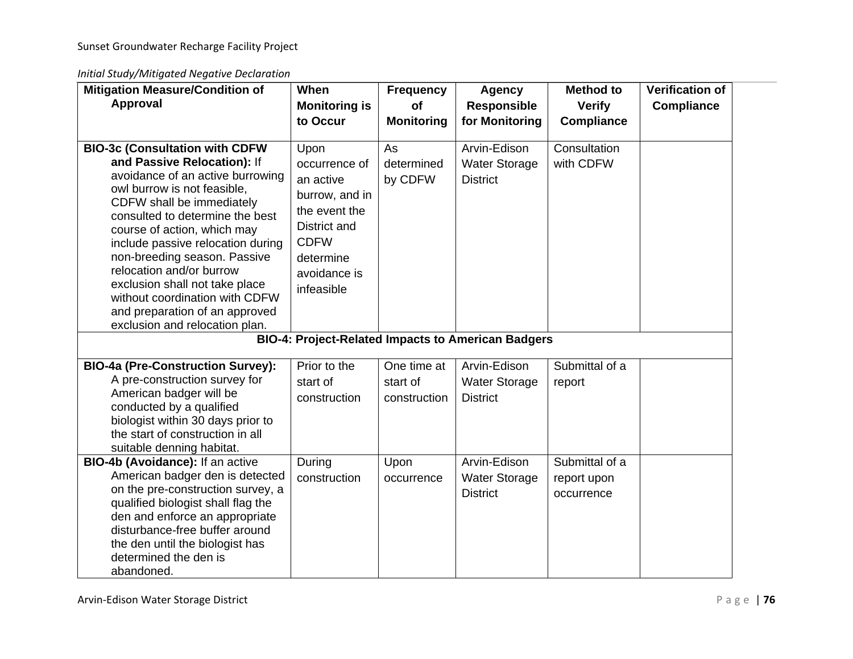*Initial Study/Mitigated Negative Declaration*

| <b>Mitigation Measure/Condition of</b><br>Approval                                                                                                                                                                                                                                                                                                                                                                                                                              | When<br><b>Monitoring is</b><br>to Occur                                                                                                        | <b>Frequency</b><br><b>of</b><br><b>Monitoring</b> | <b>Agency</b><br><b>Responsible</b><br>for Monitoring     | <b>Method to</b><br><b>Verify</b><br><b>Compliance</b> | <b>Verification of</b><br><b>Compliance</b> |
|---------------------------------------------------------------------------------------------------------------------------------------------------------------------------------------------------------------------------------------------------------------------------------------------------------------------------------------------------------------------------------------------------------------------------------------------------------------------------------|-------------------------------------------------------------------------------------------------------------------------------------------------|----------------------------------------------------|-----------------------------------------------------------|--------------------------------------------------------|---------------------------------------------|
| <b>BIO-3c (Consultation with CDFW</b><br>and Passive Relocation): If<br>avoidance of an active burrowing<br>owl burrow is not feasible,<br>CDFW shall be immediately<br>consulted to determine the best<br>course of action, which may<br>include passive relocation during<br>non-breeding season. Passive<br>relocation and/or burrow<br>exclusion shall not take place<br>without coordination with CDFW<br>and preparation of an approved<br>exclusion and relocation plan. | Upon<br>occurrence of<br>an active<br>burrow, and in<br>the event the<br>District and<br><b>CDFW</b><br>determine<br>avoidance is<br>infeasible | As<br>determined<br>by CDFW                        | Arvin-Edison<br><b>Water Storage</b><br><b>District</b>   | Consultation<br>with CDFW                              |                                             |
|                                                                                                                                                                                                                                                                                                                                                                                                                                                                                 |                                                                                                                                                 |                                                    | <b>BIO-4: Project-Related Impacts to American Badgers</b> |                                                        |                                             |
| <b>BIO-4a (Pre-Construction Survey):</b><br>A pre-construction survey for<br>American badger will be<br>conducted by a qualified<br>biologist within 30 days prior to<br>the start of construction in all<br>suitable denning habitat.                                                                                                                                                                                                                                          | Prior to the<br>start of<br>construction                                                                                                        | One time at<br>start of<br>construction            | Arvin-Edison<br><b>Water Storage</b><br><b>District</b>   | Submittal of a<br>report                               |                                             |
| BIO-4b (Avoidance): If an active<br>American badger den is detected<br>on the pre-construction survey, a<br>qualified biologist shall flag the<br>den and enforce an appropriate<br>disturbance-free buffer around<br>the den until the biologist has<br>determined the den is<br>abandoned.                                                                                                                                                                                    | During<br>construction                                                                                                                          | Upon<br>occurrence                                 | Arvin-Edison<br><b>Water Storage</b><br><b>District</b>   | Submittal of a<br>report upon<br>occurrence            |                                             |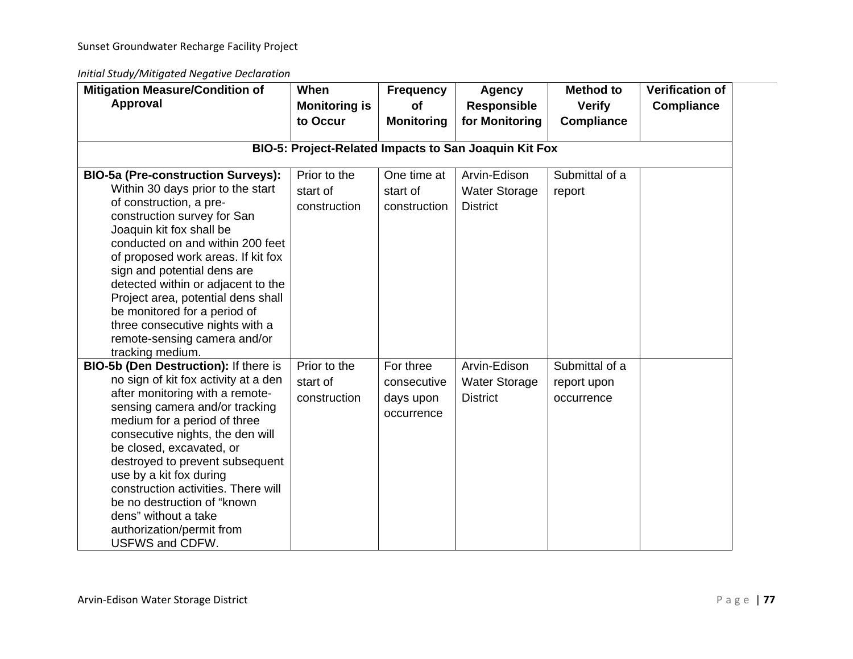*Initial Study/Mitigated Negative Declaration*

| <b>Mitigation Measure/Condition of</b><br>Approval                                                                                                                                                                                                                                                                                                                                                                                                                               | When<br><b>Monitoring is</b>             | <b>Frequency</b><br>of                              | <b>Agency</b><br><b>Responsible</b>                     | <b>Method to</b><br><b>Verify</b>           | <b>Verification of</b><br><b>Compliance</b> |  |  |  |
|----------------------------------------------------------------------------------------------------------------------------------------------------------------------------------------------------------------------------------------------------------------------------------------------------------------------------------------------------------------------------------------------------------------------------------------------------------------------------------|------------------------------------------|-----------------------------------------------------|---------------------------------------------------------|---------------------------------------------|---------------------------------------------|--|--|--|
|                                                                                                                                                                                                                                                                                                                                                                                                                                                                                  | to Occur                                 | <b>Monitoring</b>                                   | for Monitoring                                          | <b>Compliance</b>                           |                                             |  |  |  |
| BIO-5: Project-Related Impacts to San Joaquin Kit Fox                                                                                                                                                                                                                                                                                                                                                                                                                            |                                          |                                                     |                                                         |                                             |                                             |  |  |  |
| <b>BIO-5a (Pre-construction Surveys):</b><br>Within 30 days prior to the start<br>of construction, a pre-<br>construction survey for San<br>Joaquin kit fox shall be<br>conducted on and within 200 feet<br>of proposed work areas. If kit fox<br>sign and potential dens are<br>detected within or adjacent to the<br>Project area, potential dens shall<br>be monitored for a period of<br>three consecutive nights with a<br>remote-sensing camera and/or<br>tracking medium. | Prior to the<br>start of<br>construction | One time at<br>start of<br>construction             | Arvin-Edison<br><b>Water Storage</b><br><b>District</b> | Submittal of a<br>report                    |                                             |  |  |  |
| BIO-5b (Den Destruction): If there is<br>no sign of kit fox activity at a den<br>after monitoring with a remote-<br>sensing camera and/or tracking<br>medium for a period of three<br>consecutive nights, the den will<br>be closed, excavated, or<br>destroyed to prevent subsequent<br>use by a kit fox during<br>construction activities. There will<br>be no destruction of "known<br>dens" without a take<br>authorization/permit from<br>USFWS and CDFW.                   | Prior to the<br>start of<br>construction | For three<br>consecutive<br>days upon<br>occurrence | Arvin-Edison<br><b>Water Storage</b><br><b>District</b> | Submittal of a<br>report upon<br>occurrence |                                             |  |  |  |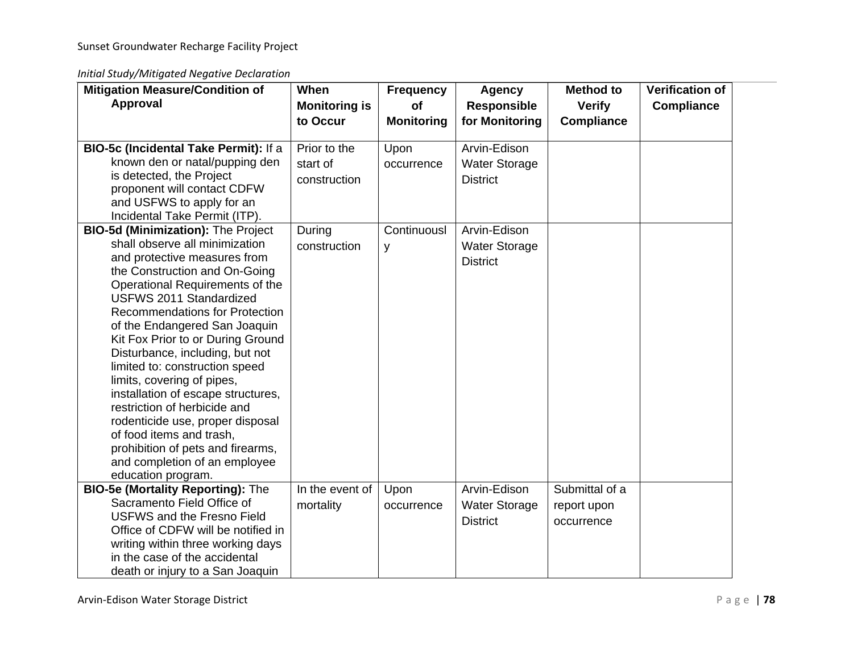*Initial Study/Mitigated Negative Declaration*

| <b>Mitigation Measure/Condition of</b>                             | When                             | <b>Frequency</b>        | <b>Agency</b>                        | <b>Method to</b>                   | <b>Verification of</b> |
|--------------------------------------------------------------------|----------------------------------|-------------------------|--------------------------------------|------------------------------------|------------------------|
| <b>Approval</b>                                                    | <b>Monitoring is</b><br>to Occur | of<br><b>Monitoring</b> | <b>Responsible</b><br>for Monitoring | <b>Verify</b><br><b>Compliance</b> | <b>Compliance</b>      |
|                                                                    |                                  |                         |                                      |                                    |                        |
| BIO-5c (Incidental Take Permit): If a                              | Prior to the                     | Upon                    | Arvin-Edison                         |                                    |                        |
| known den or natal/pupping den                                     | start of                         | occurrence              | <b>Water Storage</b>                 |                                    |                        |
| is detected, the Project                                           | construction                     |                         | <b>District</b>                      |                                    |                        |
| proponent will contact CDFW                                        |                                  |                         |                                      |                                    |                        |
| and USFWS to apply for an                                          |                                  |                         |                                      |                                    |                        |
| Incidental Take Permit (ITP).                                      |                                  |                         |                                      |                                    |                        |
| <b>BIO-5d (Minimization): The Project</b>                          | During                           | Continuousl             | Arvin-Edison                         |                                    |                        |
| shall observe all minimization                                     | construction                     | y                       | <b>Water Storage</b>                 |                                    |                        |
| and protective measures from                                       |                                  |                         | <b>District</b>                      |                                    |                        |
| the Construction and On-Going                                      |                                  |                         |                                      |                                    |                        |
| Operational Requirements of the                                    |                                  |                         |                                      |                                    |                        |
| <b>USFWS 2011 Standardized</b>                                     |                                  |                         |                                      |                                    |                        |
| <b>Recommendations for Protection</b>                              |                                  |                         |                                      |                                    |                        |
| of the Endangered San Joaquin<br>Kit Fox Prior to or During Ground |                                  |                         |                                      |                                    |                        |
| Disturbance, including, but not                                    |                                  |                         |                                      |                                    |                        |
| limited to: construction speed                                     |                                  |                         |                                      |                                    |                        |
| limits, covering of pipes,                                         |                                  |                         |                                      |                                    |                        |
| installation of escape structures,                                 |                                  |                         |                                      |                                    |                        |
| restriction of herbicide and                                       |                                  |                         |                                      |                                    |                        |
| rodenticide use, proper disposal                                   |                                  |                         |                                      |                                    |                        |
| of food items and trash,                                           |                                  |                         |                                      |                                    |                        |
| prohibition of pets and firearms,                                  |                                  |                         |                                      |                                    |                        |
| and completion of an employee                                      |                                  |                         |                                      |                                    |                        |
| education program.                                                 |                                  |                         |                                      |                                    |                        |
| <b>BIO-5e (Mortality Reporting): The</b>                           | In the event of                  | Upon                    | Arvin-Edison                         | Submittal of a                     |                        |
| Sacramento Field Office of                                         | mortality                        | occurrence              | <b>Water Storage</b>                 | report upon                        |                        |
| <b>USFWS and the Fresno Field</b>                                  |                                  |                         | <b>District</b>                      | occurrence                         |                        |
| Office of CDFW will be notified in                                 |                                  |                         |                                      |                                    |                        |
| writing within three working days                                  |                                  |                         |                                      |                                    |                        |
| in the case of the accidental                                      |                                  |                         |                                      |                                    |                        |
| death or injury to a San Joaquin                                   |                                  |                         |                                      |                                    |                        |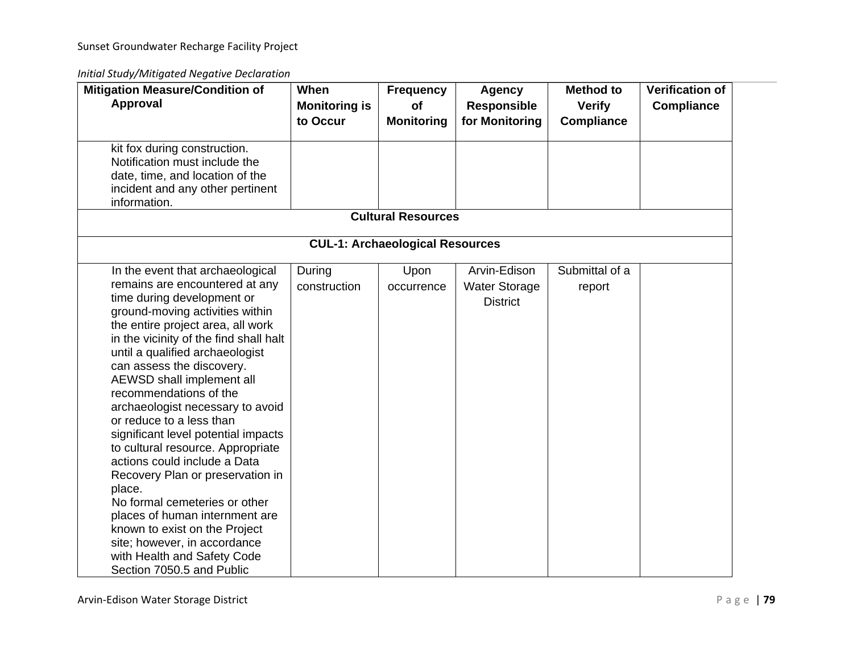### *Initial Study/Mitigated Negative Declaration*

| When<br><b>Monitoring is</b><br>to Occur               | <b>Frequency</b><br><b>of</b><br><b>Monitoring</b> | <b>Agency</b><br><b>Responsible</b><br>for Monitoring | <b>Method to</b><br><b>Verify</b><br><b>Compliance</b>                              | <b>Verification of</b><br><b>Compliance</b> |
|--------------------------------------------------------|----------------------------------------------------|-------------------------------------------------------|-------------------------------------------------------------------------------------|---------------------------------------------|
|                                                        |                                                    |                                                       |                                                                                     |                                             |
|                                                        |                                                    |                                                       |                                                                                     |                                             |
|                                                        |                                                    |                                                       |                                                                                     |                                             |
| construction<br>in the vicinity of the find shall halt | occurrence                                         | <b>Water Storage</b><br><b>District</b>               | report                                                                              |                                             |
|                                                        | During                                             | Upon                                                  | <b>Cultural Resources</b><br><b>CUL-1: Archaeological Resources</b><br>Arvin-Edison | Submittal of a                              |